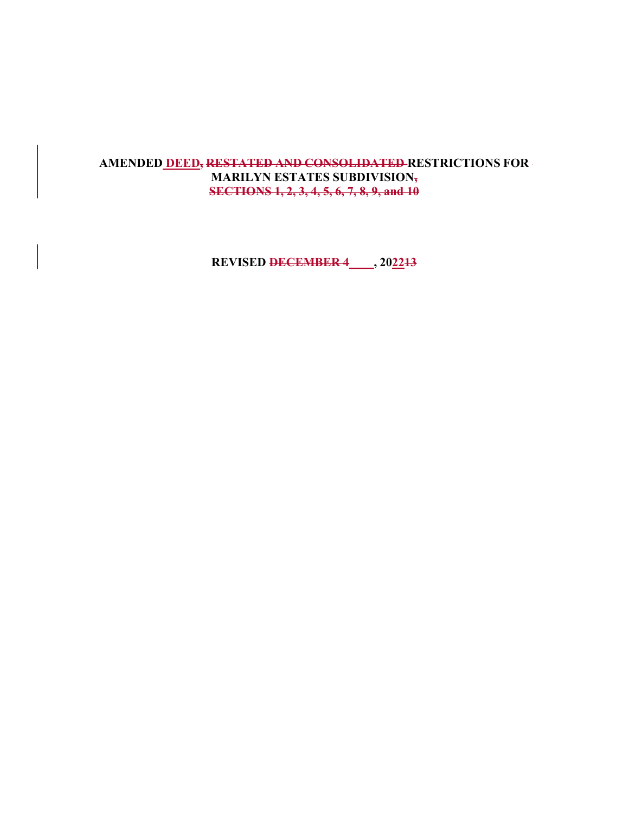# AMENDED DEED, RESTATED AND CONSOLIDATED RESTRICTIONS FOR MARILYN ESTATES SUBDIVISION, SECTIONS 1, 2, 3, 4, 5, 6, 7, 8, 9, and 10

REVISED DECEMBER 4\_\_\_\_, 202213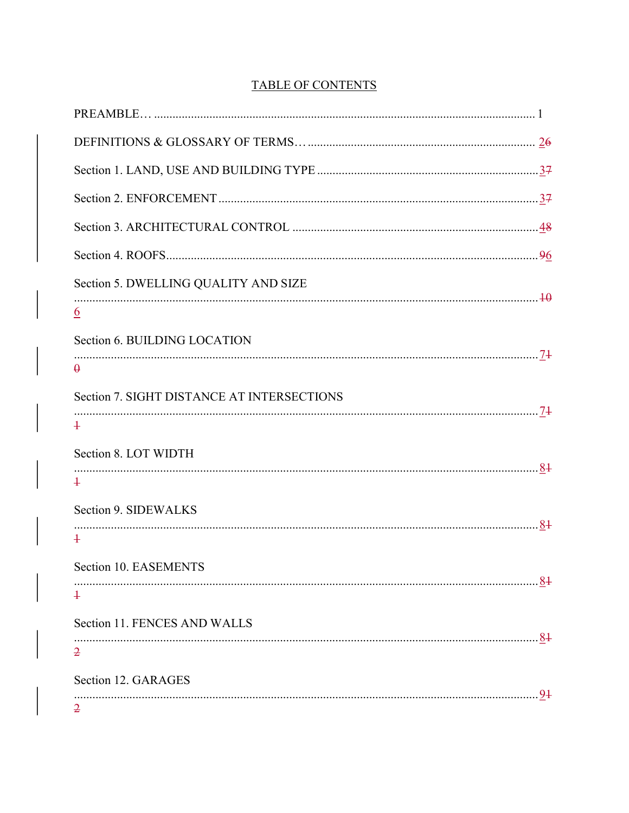| <b>TABLE OF CONTENTS</b> |  |
|--------------------------|--|
|                          |  |

| Section 5. DWELLING QUALITY AND SIZE       |
|--------------------------------------------|
| $\underline{6}$                            |
| Section 6. BUILDING LOCATION               |
| $\theta$                                   |
| Section 7. SIGHT DISTANCE AT INTERSECTIONS |
| $\ddagger$                                 |
| Section 8. LOT WIDTH                       |
| $\ddagger$                                 |
| Section 9. SIDEWALKS                       |
| $\ddagger$                                 |
| Section 10. EASEMENTS                      |
| .87<br>$\ddot{+}$                          |
| Section 11. FENCES AND WALLS               |
| $\overline{2}$                             |
| Section 12. GARAGES                        |
|                                            |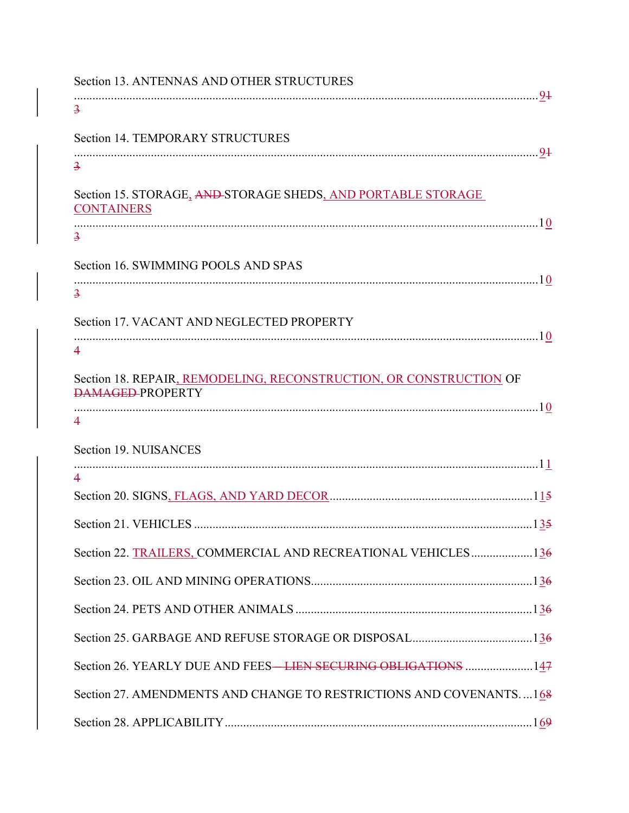| Section 13. ANTENNAS AND OTHER STRUCTURES                                                     |
|-----------------------------------------------------------------------------------------------|
| $\overline{3}$                                                                                |
| <b>Section 14. TEMPORARY STRUCTURES</b>                                                       |
| $\overline{3}$                                                                                |
| Section 15. STORAGE, AND STORAGE SHEDS, AND PORTABLE STORAGE<br><b>CONTAINERS</b>             |
| $\overline{3}$                                                                                |
| Section 16. SWIMMING POOLS AND SPAS                                                           |
| $\overline{\mathbf{3}}$                                                                       |
| Section 17. VACANT AND NEGLECTED PROPERTY                                                     |
| $\overline{\mathcal{A}}$                                                                      |
| Section 18. REPAIR, REMODELING, RECONSTRUCTION, OR CONSTRUCTION OF<br><b>DAMAGED-PROPERTY</b> |
| $\overline{4}$                                                                                |
| Section 19. NUISANCES                                                                         |
| $\overline{4}$                                                                                |
|                                                                                               |
|                                                                                               |
| Section 22. TRAILERS, COMMERCIAL AND RECREATIONAL VEHICLES136                                 |
|                                                                                               |
|                                                                                               |
|                                                                                               |
| Section 26. YEARLY DUE AND FEES—LIEN SECURING OBLIGATIONS 147                                 |
| Section 27. AMENDMENTS AND CHANGE TO RESTRICTIONS AND COVENANTS168                            |
|                                                                                               |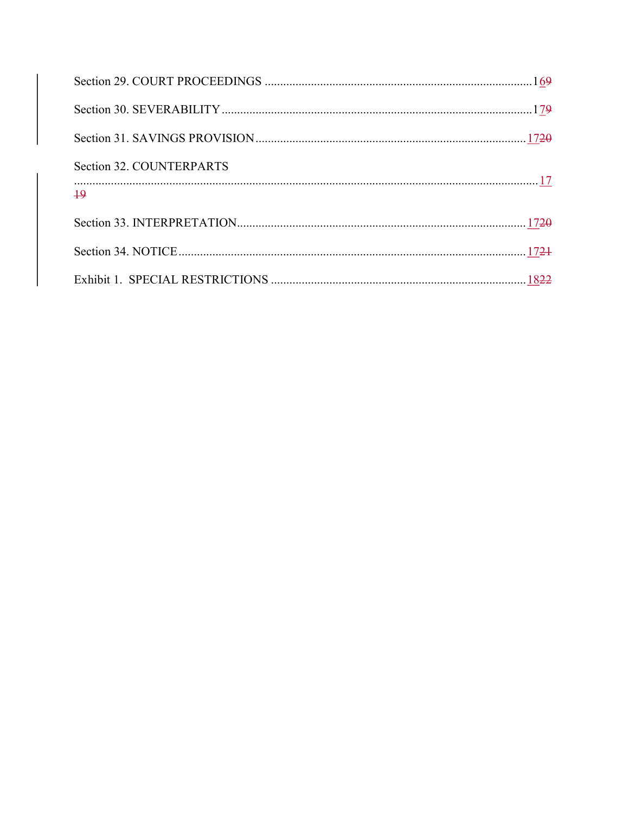| Section 32. COUNTERPARTS |  |
|--------------------------|--|
| $\overline{19}$          |  |
|                          |  |
|                          |  |
|                          |  |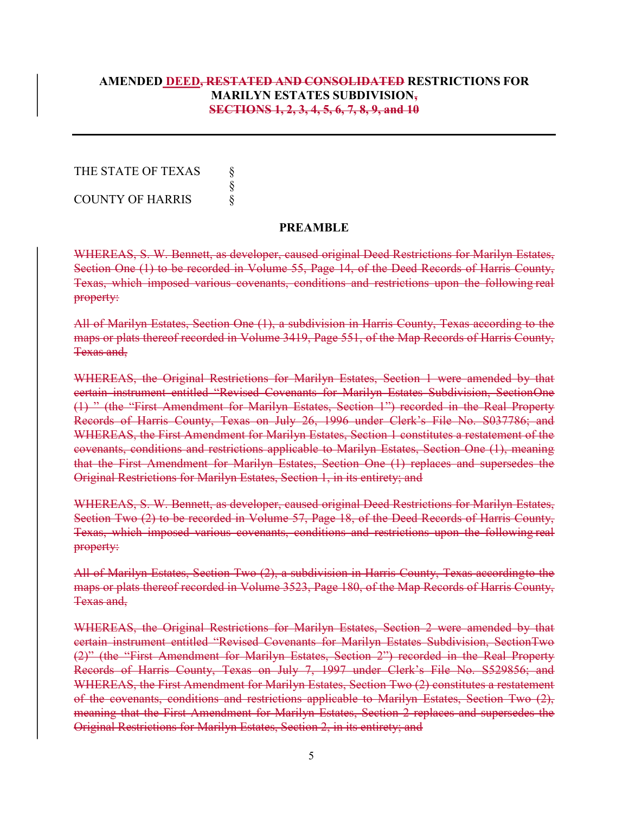# AMENDED DEED, RESTATED AND CONSOLIDATED RESTRICTIONS FOR MARILYN ESTATES SUBDIVISION, SECTIONS 1, 2, 3, 4, 5, 6, 7, 8, 9, and 10

THE STATE OF TEXAS  $\S$  § COUNTY OF HARRIS §

#### PREAMBLE

WHEREAS, S. W. Bennett, as developer, caused original Deed Restrictions for Marilyn Estates, Section One (1) to be recorded in Volume 55, Page 14, of the Deed Records of Harris County, Texas, which imposed various covenants, conditions and restrictions upon the following real property:

All of Marilyn Estates, Section One (1), a subdivision in Harris County, Texas according to the maps or plats thereof recorded in Volume 3419, Page 551, of the Map Records of Harris County, Texas and,

WHEREAS, the Original Restrictions for Marilyn Estates, Section 1 were amended by that certain instrument entitled "Revised Covenants for Marilyn Estates Subdivision, Section One (1) " (the "First Amendment for Marilyn Estates, Section 1") recorded in the Real Property Records of Harris County, Texas on July 26, 1996 under Clerk's File No. S037786; and WHEREAS, the First Amendment for Marilyn Estates, Section 1 constitutes a restatement of the covenants, conditions and restrictions applicable to Marilyn Estates, Section One (1), meaning that the First Amendment for Marilyn Estates, Section One (1) replaces and supersedes the Original Restrictions for Marilyn Estates, Section 1, in its entirety; and

WHEREAS, S. W. Bennett, as developer, caused original Deed Restrictions for Marilyn Estates, Section Two (2) to be recorded in Volume 57, Page 18, of the Deed Records of Harris County, Texas, which imposed various covenants, conditions and restrictions upon the following real property:

All of Marilyn Estates, Section Two (2), a subdivision in Harris County, Texas according to the maps or plats thereof recorded in Volume 3523, Page 180, of the Map Records of Harris County, Texas and,

WHEREAS, the Original Restrictions for Marilyn Estates, Section 2 were amended by that certain instrument entitled "Revised Covenants for Marilyn Estates Subdivision, Section Two (2)" (the "First Amendment for Marilyn Estates, Section 2") recorded in the Real Property Records of Harris County, Texas on July 7, 1997 under Clerk's File No. S529856; and WHEREAS, the First Amendment for Marilyn Estates, Section Two (2) constitutes a restatement of the covenants, conditions and restrictions applicable to Marilyn Estates, Section Two (2), meaning that the First Amendment for Marilyn Estates, Section 2 replaces and supersedes the Original Restrictions for Marilyn Estates, Section 2, in its entirety; and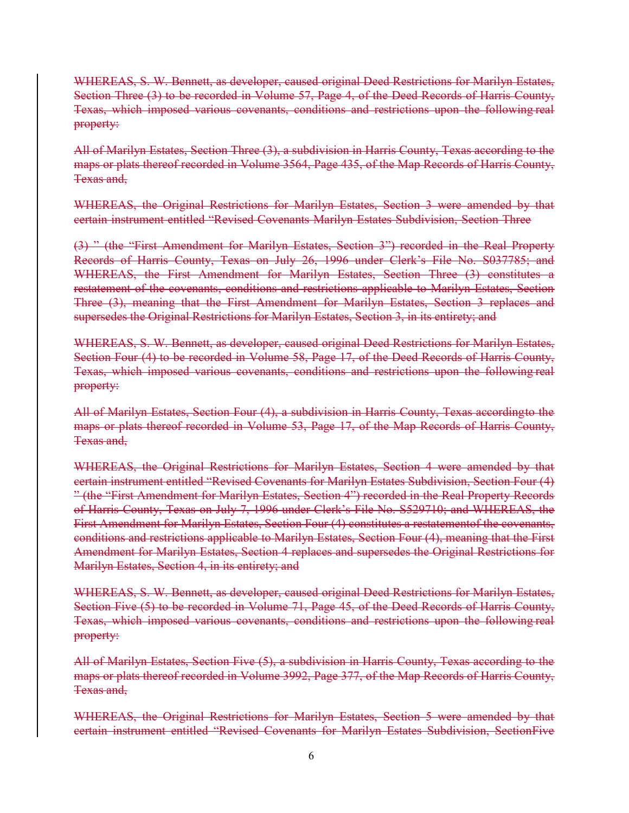WHEREAS, S. W. Bennett, as developer, caused original Deed Restrictions for Marilyn Estates, Section Three (3) to be recorded in Volume 57, Page 4, of the Deed Records of Harris County, Texas, which imposed various covenants, conditions and restrictions upon the following real property:

All of Marilyn Estates, Section Three (3), a subdivision in Harris County, Texas according to the maps or plats thereof recorded in Volume 3564, Page 435, of the Map Records of Harris County, Texas and,

WHEREAS, the Original Restrictions for Marilyn Estates, Section 3 were amended by that certain instrument entitled "Revised Covenants Marilyn Estates Subdivision, Section Three

(3) " (the "First Amendment for Marilyn Estates, Section 3") recorded in the Real Property Records of Harris County, Texas on July 26, 1996 under Clerk's File No. S037785; and WHEREAS, the First Amendment for Marilyn Estates, Section Three (3) constitutes a restatement of the covenants, conditions and restrictions applicable to Marilyn Estates, Section Three (3), meaning that the First Amendment for Marilyn Estates, Section 3 replaces and supersedes the Original Restrictions for Marilyn Estates, Section 3, in its entirety; and

WHEREAS, S. W. Bennett, as developer, caused original Deed Restrictions for Marilyn Estates, Section Four (4) to be recorded in Volume 58, Page 17, of the Deed Records of Harris County, Texas, which imposed various covenants, conditions and restrictions upon the following real property:

All of Marilyn Estates, Section Four (4), a subdivision in Harris County, Texas according to the maps or plats thereof recorded in Volume 53, Page 17, of the Map Records of Harris County, Texas and,

WHEREAS, the Original Restrictions for Marilyn Estates, Section 4 were amended by that certain instrument entitled "Revised Covenants for Marilyn Estates Subdivision, Section Four (4) " (the "First Amendment for Marilyn Estates, Section 4") recorded in the Real Property Records of Harris County, Texas on July 7, 1996 under Clerk's File No. S529710; and WHEREAS, the First Amendment for Marilyn Estates, Section Four (4) constitutes a restatement of the covenants, conditions and restrictions applicable to Marilyn Estates, Section Four (4), meaning that the First Amendment for Marilyn Estates, Section 4 replaces and supersedes the Original Restrictions for Marilyn Estates, Section 4, in its entirety; and

WHEREAS, S. W. Bennett, as developer, caused original Deed Restrictions for Marilyn Estates, Section Five (5) to be recorded in Volume 71, Page 45, of the Deed Records of Harris County, Texas, which imposed various covenants, conditions and restrictions upon the following real property:

All of Marilyn Estates, Section Five (5), a subdivision in Harris County, Texas according to the maps or plats thereof recorded in Volume 3992, Page 377, of the Map Records of Harris County, Texas and,

WHEREAS, the Original Restrictions for Marilyn Estates, Section 5 were amended by that certain instrument entitled "Revised Covenants for Marilyn Estates Subdivision, Section Five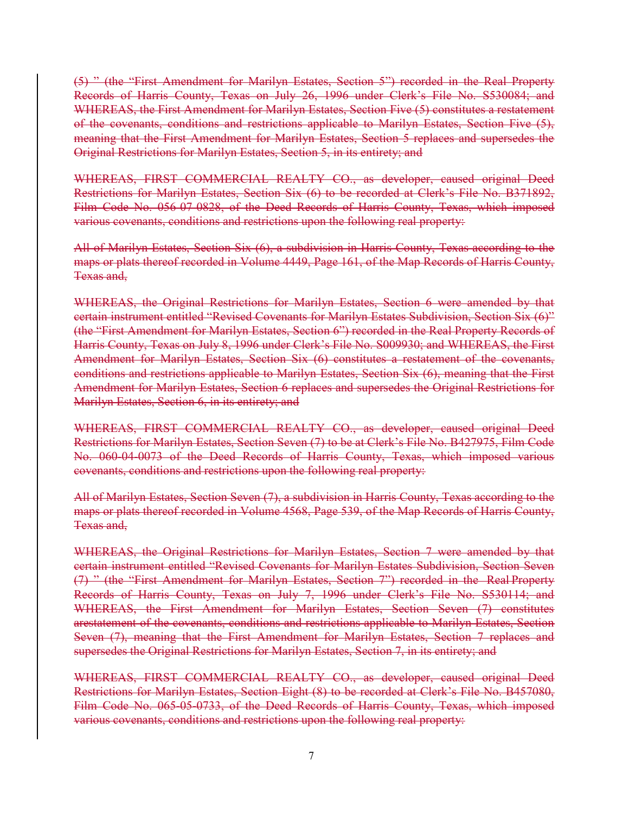(5) " (the "First Amendment for Marilyn Estates, Section 5") recorded in the Real Property Records of Harris County, Texas on July 26, 1996 under Clerk's File No. S530084; and WHEREAS, the First Amendment for Marilyn Estates, Section Five (5) constitutes a restatement of the covenants, conditions and restrictions applicable to Marilyn Estates, Section Five (5), meaning that the First Amendment for Marilyn Estates, Section 5 replaces and supersedes the Original Restrictions for Marilyn Estates, Section 5, in its entirety; and

WHEREAS, FIRST COMMERCIAL REALTY CO., as developer, caused original Deed Restrictions for Marilyn Estates, Section Six (6) to be recorded at Clerk's File No. B371892, Film Code No. 056-07-0828, of the Deed Records of Harris County, Texas, which imposed various covenants, conditions and restrictions upon the following real property:

All of Marilyn Estates, Section Six (6), a subdivision in Harris County, Texas according to the maps or plats thereof recorded in Volume 4449, Page 161, of the Map Records of Harris County, Texas and,

WHEREAS, the Original Restrictions for Marilyn Estates, Section 6 were amended by that certain instrument entitled "Revised Covenants for Marilyn Estates Subdivision, Section Six (6)" (the "First Amendment for Marilyn Estates, Section 6") recorded in the Real Property Records of Harris County, Texas on July 8, 1996 under Clerk's File No. S009930; and WHEREAS, the First Amendment for Marilyn Estates, Section Six (6) constitutes a restatement of the covenants, conditions and restrictions applicable to Marilyn Estates, Section Six (6), meaning that the First Amendment for Marilyn Estates, Section 6 replaces and supersedes the Original Restrictions for Marilyn Estates, Section 6, in its entirety; and

WHEREAS, FIRST COMMERCIAL REALTY CO., as developer, caused original Deed Restrictions for Marilyn Estates, Section Seven (7) to be at Clerk's File No. B427975, Film Code No. 060-04-0073 of the Deed Records of Harris County, Texas, which imposed various covenants, conditions and restrictions upon the following real property:

All of Marilyn Estates, Section Seven (7), a subdivision in Harris County, Texas according to the maps or plats thereof recorded in Volume 4568, Page 539, of the Map Records of Harris County, Texas and,

WHEREAS, the Original Restrictions for Marilyn Estates, Section 7 were amended by that certain instrument entitled "Revised Covenants for Marilyn Estates Subdivision, Section Seven (7) " (the "First Amendment for Marilyn Estates, Section 7") recorded in the Real Property Records of Harris County, Texas on July 7, 1996 under Clerk's File No. S530114; and WHEREAS, the First Amendment for Marilyn Estates, Section Seven (7) constitutes arestatement of the covenants, conditions and restrictions applicable to Marilyn Estates, Section Seven (7), meaning that the First Amendment for Marilyn Estates, Section 7 replaces and supersedes the Original Restrictions for Marilyn Estates, Section 7, in its entirety; and

WHEREAS, FIRST COMMERCIAL REALTY CO., as developer, caused original Deed Restrictions for Marilyn Estates, Section Eight (8) to be recorded at Clerk's File No. B457080, Film Code No. 065-05-0733, of the Deed Records of Harris County, Texas, which imposed various covenants, conditions and restrictions upon the following real property: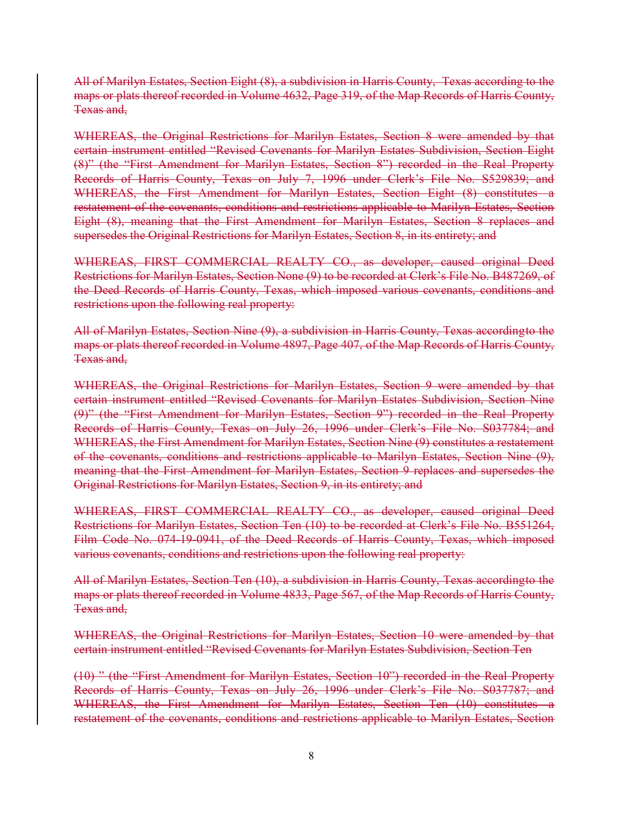All of Marilyn Estates, Section Eight (8), a subdivision in Harris County, Texas according to the maps or plats thereof recorded in Volume 4632, Page 319, of the Map Records of Harris County, Texas and,

WHEREAS, the Original Restrictions for Marilyn Estates, Section 8 were amended by that certain instrument entitled "Revised Covenants for Marilyn Estates Subdivision, Section Eight (8)" (the "First Amendment for Marilyn Estates, Section 8") recorded in the Real Property Records of Harris County, Texas on July 7, 1996 under Clerk's File No. S529839; and WHEREAS, the First Amendment for Marilyn Estates, Section Eight (8) constitutes a restatement of the covenants, conditions and restrictions applicable to Marilyn Estates, Section Eight (8), meaning that the First Amendment for Marilyn Estates, Section 8 replaces and supersedes the Original Restrictions for Marilyn Estates, Section 8, in its entirety; and

WHEREAS, FIRST COMMERCIAL REALTY CO., as developer, caused original Deed Restrictions for Marilyn Estates, Section None (9) to be recorded at Clerk's File No. B487269, of the Deed Records of Harris County, Texas, which imposed various covenants, conditions and restrictions upon the following real property:

All of Marilyn Estates, Section Nine (9), a subdivision in Harris County, Texas according to the maps or plats thereof recorded in Volume 4897, Page 407, of the Map Records of Harris County, Texas and,

WHEREAS, the Original Restrictions for Marilyn Estates, Section 9 were amended by that certain instrument entitled "Revised Covenants for Marilyn Estates Subdivision, Section Nine (9)" (the "First Amendment for Marilyn Estates, Section 9") recorded in the Real Property Records of Harris County, Texas on July 26, 1996 under Clerk's File No. S037784; and WHEREAS, the First Amendment for Marilyn Estates, Section Nine (9) constitutes a restatement of the covenants, conditions and restrictions applicable to Marilyn Estates, Section Nine (9), meaning that the First Amendment for Marilyn Estates, Section 9 replaces and supersedes the Original Restrictions for Marilyn Estates, Section 9, in its entirety; and

WHEREAS, FIRST COMMERCIAL REALTY CO., as developer, caused original Deed Restrictions for Marilyn Estates, Section Ten (10) to be recorded at Clerk's File No. B551264, Film Code No. 074-19-0941, of the Deed Records of Harris County, Texas, which imposed various covenants, conditions and restrictions upon the following real property:

All of Marilyn Estates, Section Ten (10), a subdivision in Harris County, Texas according to the maps or plats thereof recorded in Volume 4833, Page 567, of the Map Records of Harris County, Texas and,

WHEREAS, the Original Restrictions for Marilyn Estates, Section 10 were amended by that certain instrument entitled "Revised Covenants for Marilyn Estates Subdivision, Section Ten

(10) " (the "First Amendment for Marilyn Estates, Section 10") recorded in the Real Property Records of Harris County, Texas on July 26, 1996 under Clerk's File No. S037787; and WHEREAS, the First Amendment for Marilyn Estates, Section Ten (10) constitutes a restatement of the covenants, conditions and restrictions applicable to Marilyn Estates, Section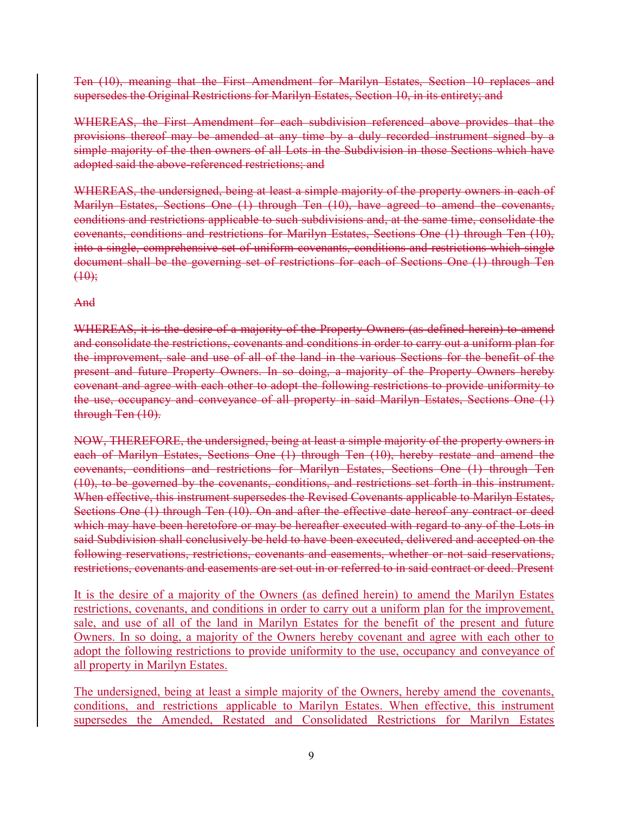Ten (10), meaning that the First Amendment for Marilyn Estates, Section 10 replaces and supersedes the Original Restrictions for Marilyn Estates, Section 10, in its entirety; and

WHEREAS, the First Amendment for each subdivision referenced above provides that the provisions thereof may be amended at any time by a duly recorded instrument signed by a simple majority of the then owners of all Lots in the Subdivision in those Sections which have adopted said the above-referenced restrictions; and

WHEREAS, the undersigned, being at least a simple majority of the property owners in each of Marilyn Estates, Sections One (1) through Ten (10), have agreed to amend the covenants, conditions and restrictions applicable to such subdivisions and, at the same time, consolidate the covenants, conditions and restrictions for Marilyn Estates, Sections One (1) through Ten (10), into a single, comprehensive set of uniform covenants, conditions and restrictions which single document shall be the governing set of restrictions for each of Sections One (1) through Ten  $(10);$ 

# And

WHEREAS, it is the desire of a majority of the Property Owners (as defined herein) to amend and consolidate the restrictions, covenants and conditions in order to carry out a uniform plan for the improvement, sale and use of all of the land in the various Sections for the benefit of the present and future Property Owners. In so doing, a majority of the Property Owners hereby covenant and agree with each other to adopt the following restrictions to provide uniformity to the use, occupancy and conveyance of all property in said Marilyn Estates, Sections One (1) through Ten (10).

NOW, THEREFORE, the undersigned, being at least a simple majority of the property owners in each of Marilyn Estates, Sections One (1) through Ten (10), hereby restate and amend the covenants, conditions and restrictions for Marilyn Estates, Sections One (1) through Ten (10), to be governed by the covenants, conditions, and restrictions set forth in this instrument. When effective, this instrument supersedes the Revised Covenants applicable to Marilyn Estates, Sections One (1) through Ten (10). On and after the effective date hereof any contract or deed which may have been heretofore or may be hereafter executed with regard to any of the Lots in said Subdivision shall conclusively be held to have been executed, delivered and accepted on the following reservations, restrictions, covenants and easements, whether or not said reservations, restrictions, covenants and easements are set out in or referred to in said contract or deed. Present

It is the desire of a majority of the Owners (as defined herein) to amend the Marilyn Estates restrictions, covenants, and conditions in order to carry out a uniform plan for the improvement, sale, and use of all of the land in Marilyn Estates for the benefit of the present and future Owners. In so doing, a majority of the Owners hereby covenant and agree with each other to adopt the following restrictions to provide uniformity to the use, occupancy and conveyance of all property in Marilyn Estates.

The undersigned, being at least a simple majority of the Owners, hereby amend the covenants, conditions, and restrictions applicable to Marilyn Estates. When effective, this instrument supersedes the Amended, Restated and Consolidated Restrictions for Marilyn Estates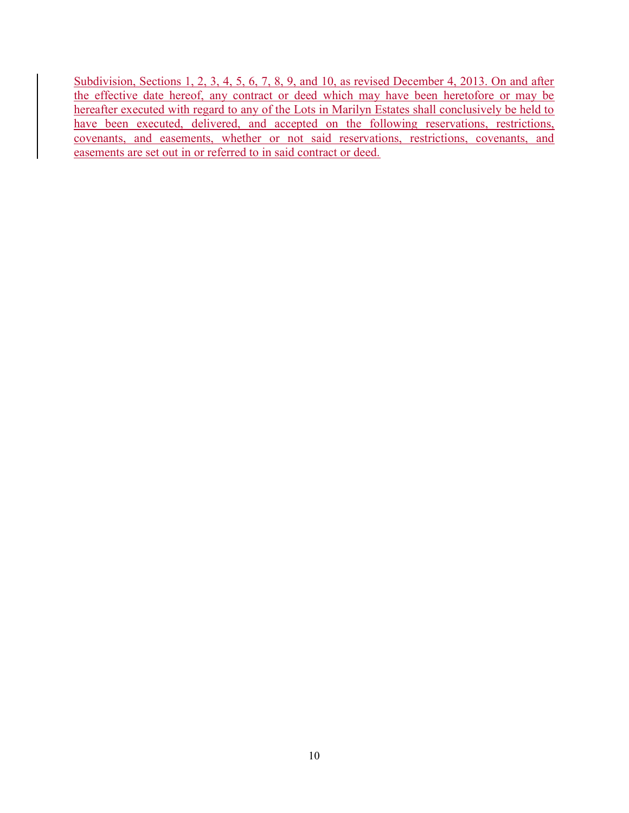Subdivision, Sections 1, 2, 3, 4, 5, 6, 7, 8, 9, and 10, as revised December 4, 2013. On and after the effective date hereof, any contract or deed which may have been heretofore or may be hereafter executed with regard to any of the Lots in Marilyn Estates shall conclusively be held to have been executed, delivered, and accepted on the following reservations, restrictions, covenants, and easements, whether or not said reservations, restrictions, covenants, and easements are set out in or referred to in said contract or deed.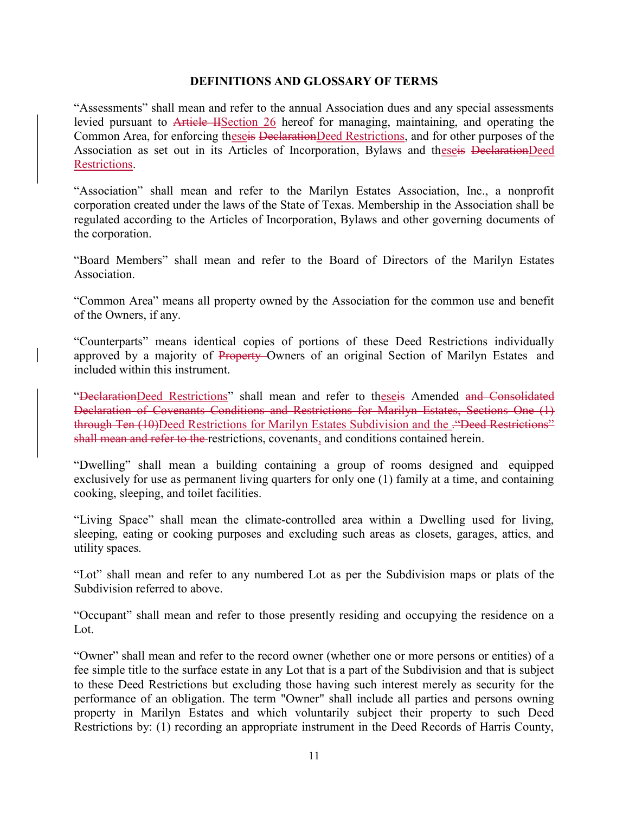#### DEFINITIONS AND GLOSSARY OF TERMS

"Assessments" shall mean and refer to the annual Association dues and any special assessments levied pursuant to Article IISection 26 hereof for managing, maintaining, and operating the Common Area, for enforcing theseis DeclarationDeed Restrictions, and for other purposes of the Association as set out in its Articles of Incorporation, Bylaws and theseis DeclarationDeed Restrictions.

"Association" shall mean and refer to the Marilyn Estates Association, Inc., a nonprofit corporation created under the laws of the State of Texas. Membership in the Association shall be regulated according to the Articles of Incorporation, Bylaws and other governing documents of the corporation.

"Board Members" shall mean and refer to the Board of Directors of the Marilyn Estates Association.

"Common Area" means all property owned by the Association for the common use and benefit of the Owners, if any.

"Counterparts" means identical copies of portions of these Deed Restrictions individually approved by a majority of Property-Owners of an original Section of Marilyn Estates and included within this instrument.

"DeclarationDeed Restrictions" shall mean and refer to theseis Amended and Consolidated Declaration of Covenants Conditions and Restrictions for Marilyn Estates, Sections One (1) through Ten (10)Deed Restrictions for Marilyn Estates Subdivision and the . "Deed Restrictions" shall mean and refer to the restrictions, covenants, and conditions contained herein.

"Dwelling" shall mean a building containing a group of rooms designed and equipped exclusively for use as permanent living quarters for only one (1) family at a time, and containing cooking, sleeping, and toilet facilities.

"Living Space" shall mean the climate-controlled area within a Dwelling used for living, sleeping, eating or cooking purposes and excluding such areas as closets, garages, attics, and utility spaces.

"Lot" shall mean and refer to any numbered Lot as per the Subdivision maps or plats of the Subdivision referred to above.

"Occupant" shall mean and refer to those presently residing and occupying the residence on a Lot.

"Owner" shall mean and refer to the record owner (whether one or more persons or entities) of a fee simple title to the surface estate in any Lot that is a part of the Subdivision and that is subject to these Deed Restrictions but excluding those having such interest merely as security for the performance of an obligation. The term "Owner" shall include all parties and persons owning property in Marilyn Estates and which voluntarily subject their property to such Deed Restrictions by: (1) recording an appropriate instrument in the Deed Records of Harris County,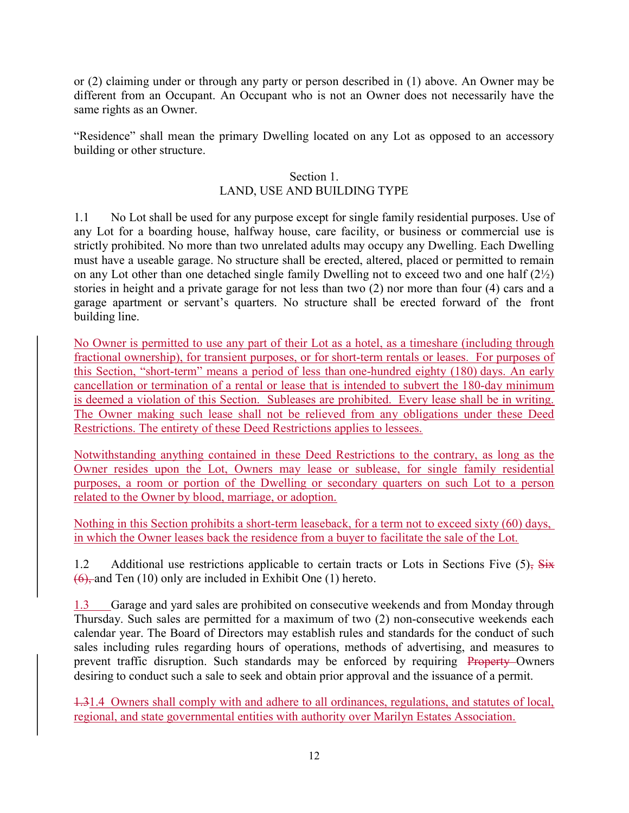or (2) claiming under or through any party or person described in (1) above. An Owner may be different from an Occupant. An Occupant who is not an Owner does not necessarily have the same rights as an Owner.

"Residence" shall mean the primary Dwelling located on any Lot as opposed to an accessory building or other structure.

### Section 1.

# LAND, USE AND BUILDING TYPE

1.1 No Lot shall be used for any purpose except for single family residential purposes. Use of any Lot for a boarding house, halfway house, care facility, or business or commercial use is strictly prohibited. No more than two unrelated adults may occupy any Dwelling. Each Dwelling must have a useable garage. No structure shall be erected, altered, placed or permitted to remain on any Lot other than one detached single family Dwelling not to exceed two and one half  $(2<sup>1</sup>/<sub>2</sub>)$ stories in height and a private garage for not less than two (2) nor more than four (4) cars and a garage apartment or servant's quarters. No structure shall be erected forward of the front building line.

No Owner is permitted to use any part of their Lot as a hotel, as a timeshare (including through fractional ownership), for transient purposes, or for short-term rentals or leases. For purposes of this Section, "short-term" means a period of less than one-hundred eighty (180) days. An early cancellation or termination of a rental or lease that is intended to subvert the 180-day minimum is deemed a violation of this Section. Subleases are prohibited. Every lease shall be in writing. The Owner making such lease shall not be relieved from any obligations under these Deed Restrictions. The entirety of these Deed Restrictions applies to lessees.

Notwithstanding anything contained in these Deed Restrictions to the contrary, as long as the Owner resides upon the Lot, Owners may lease or sublease, for single family residential purposes, a room or portion of the Dwelling or secondary quarters on such Lot to a person related to the Owner by blood, marriage, or adoption.

Nothing in this Section prohibits a short-term leaseback, for a term not to exceed sixty (60) days, in which the Owner leases back the residence from a buyer to facilitate the sale of the Lot.

1.2 Additional use restrictions applicable to certain tracts or Lots in Sections Five  $(5)$ , Six  $(6)$ , and Ten (10) only are included in Exhibit One (1) hereto.

1.3 Garage and yard sales are prohibited on consecutive weekends and from Monday through Thursday. Such sales are permitted for a maximum of two (2) non-consecutive weekends each calendar year. The Board of Directors may establish rules and standards for the conduct of such sales including rules regarding hours of operations, methods of advertising, and measures to prevent traffic disruption. Such standards may be enforced by requiring Property Owners desiring to conduct such a sale to seek and obtain prior approval and the issuance of a permit.

1.31.4 Owners shall comply with and adhere to all ordinances, regulations, and statutes of local, regional, and state governmental entities with authority over Marilyn Estates Association.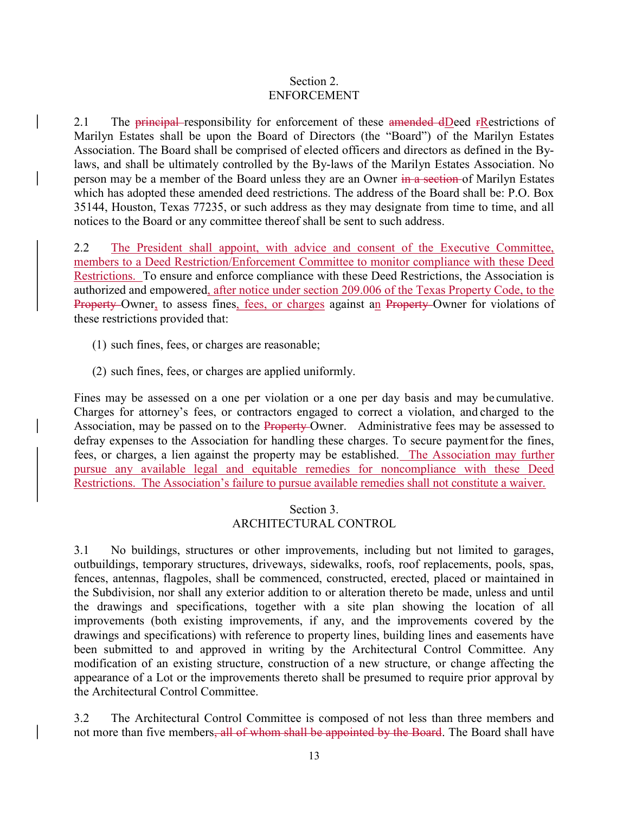#### Section 2. ENFORCEMENT

2.1 The principal responsibility for enforcement of these amended dDeed rRestrictions of Marilyn Estates shall be upon the Board of Directors (the "Board") of the Marilyn Estates Association. The Board shall be comprised of elected officers and directors as defined in the Bylaws, and shall be ultimately controlled by the By-laws of the Marilyn Estates Association. No person may be a member of the Board unless they are an Owner in a section of Marilyn Estates which has adopted these amended deed restrictions. The address of the Board shall be: P.O. Box 35144, Houston, Texas 77235, or such address as they may designate from time to time, and all notices to the Board or any committee thereof shall be sent to such address.

2.2 The President shall appoint, with advice and consent of the Executive Committee, members to a Deed Restriction/Enforcement Committee to monitor compliance with these Deed Restrictions. To ensure and enforce compliance with these Deed Restrictions, the Association is authorized and empowered, after notice under section 209.006 of the Texas Property Code, to the Property-Owner, to assess fines, fees, or charges against an Property-Owner for violations of these restrictions provided that:

- (1) such fines, fees, or charges are reasonable;
- (2) such fines, fees, or charges are applied uniformly.

Fines may be assessed on a one per violation or a one per day basis and may be cumulative. Charges for attorney's fees, or contractors engaged to correct a violation, and charged to the Association, may be passed on to the Property-Owner. Administrative fees may be assessed to defray expenses to the Association for handling these charges. To secure payment for the fines, fees, or charges, a lien against the property may be established. The Association may further pursue any available legal and equitable remedies for noncompliance with these Deed Restrictions. The Association's failure to pursue available remedies shall not constitute a waiver.

# Section 3. ARCHITECTURAL CONTROL

3.1 No buildings, structures or other improvements, including but not limited to garages, outbuildings, temporary structures, driveways, sidewalks, roofs, roof replacements, pools, spas, fences, antennas, flagpoles, shall be commenced, constructed, erected, placed or maintained in the Subdivision, nor shall any exterior addition to or alteration thereto be made, unless and until the drawings and specifications, together with a site plan showing the location of all improvements (both existing improvements, if any, and the improvements covered by the drawings and specifications) with reference to property lines, building lines and easements have been submitted to and approved in writing by the Architectural Control Committee. Any modification of an existing structure, construction of a new structure, or change affecting the appearance of a Lot or the improvements thereto shall be presumed to require prior approval by the Architectural Control Committee.

3.2 The Architectural Control Committee is composed of not less than three members and not more than five members<del>, all of whom shall be appointed by the Board</del>. The Board shall have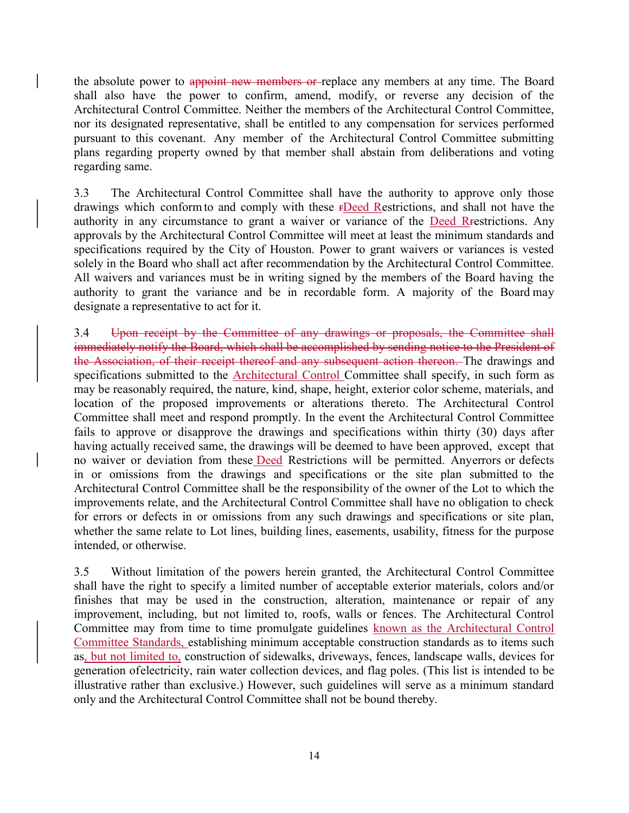the absolute power to appoint new members or replace any members at any time. The Board shall also have the power to confirm, amend, modify, or reverse any decision of the Architectural Control Committee. Neither the members of the Architectural Control Committee, nor its designated representative, shall be entitled to any compensation for services performed pursuant to this covenant. Any member of the Architectural Control Committee submitting plans regarding property owned by that member shall abstain from deliberations and voting regarding same.

3.3 The Architectural Control Committee shall have the authority to approve only those drawings which conform to and comply with these rDeed Restrictions, and shall not have the authority in any circumstance to grant a waiver or variance of the Deed Rrestrictions. Any approvals by the Architectural Control Committee will meet at least the minimum standards and specifications required by the City of Houston. Power to grant waivers or variances is vested solely in the Board who shall act after recommendation by the Architectural Control Committee. All waivers and variances must be in writing signed by the members of the Board having the authority to grant the variance and be in recordable form. A majority of the Board may designate a representative to act for it.

3.4 Upon receipt by the Committee of any drawings or proposals, the Committee shall immediately notify the Board, which shall be accomplished by sending notice to the President of the Association, of their receipt thereof and any subsequent action thereon. The drawings and specifications submitted to the Architectural Control Committee shall specify, in such form as may be reasonably required, the nature, kind, shape, height, exterior color scheme, materials, and location of the proposed improvements or alterations thereto. The Architectural Control Committee shall meet and respond promptly. In the event the Architectural Control Committee fails to approve or disapprove the drawings and specifications within thirty (30) days after having actually received same, the drawings will be deemed to have been approved, except that no waiver or deviation from these Deed Restrictions will be permitted. Any errors or defects in or omissions from the drawings and specifications or the site plan submitted to the Architectural Control Committee shall be the responsibility of the owner of the Lot to which the improvements relate, and the Architectural Control Committee shall have no obligation to check for errors or defects in or omissions from any such drawings and specifications or site plan, whether the same relate to Lot lines, building lines, easements, usability, fitness for the purpose intended, or otherwise.

3.5 Without limitation of the powers herein granted, the Architectural Control Committee shall have the right to specify a limited number of acceptable exterior materials, colors and/or finishes that may be used in the construction, alteration, maintenance or repair of any improvement, including, but not limited to, roofs, walls or fences. The Architectural Control Committee may from time to time promulgate guidelines known as the Architectural Control Committee Standards, establishing minimum acceptable construction standards as to items such as, but not limited to, construction of sidewalks, driveways, fences, landscape walls, devices for generation of electricity, rain water collection devices, and flag poles. (This list is intended to be illustrative rather than exclusive.) However, such guidelines will serve as a minimum standard only and the Architectural Control Committee shall not be bound thereby.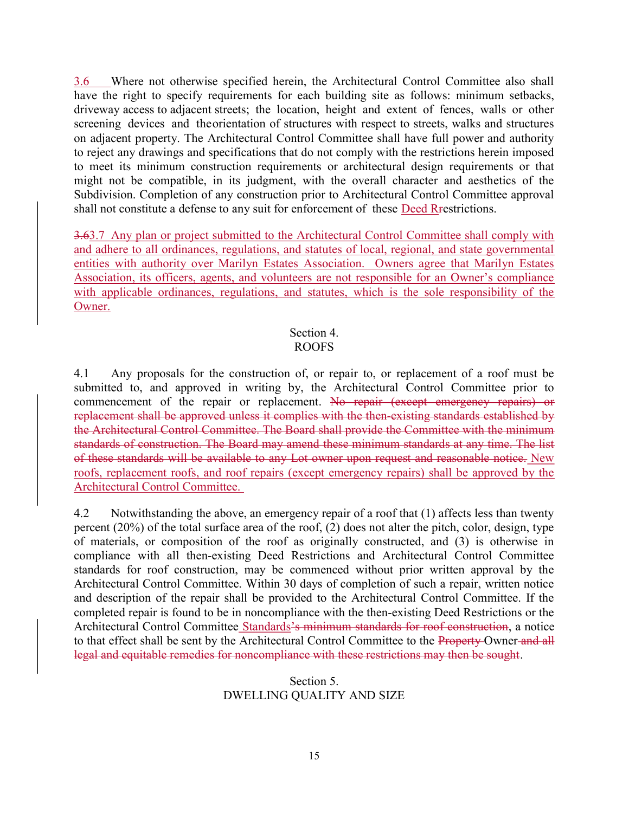3.6 Where not otherwise specified herein, the Architectural Control Committee also shall have the right to specify requirements for each building site as follows: minimum setbacks, driveway access to adjacent streets; the location, height and extent of fences, walls or other screening devices and the orientation of structures with respect to streets, walks and structures on adjacent property. The Architectural Control Committee shall have full power and authority to reject any drawings and specifications that do not comply with the restrictions herein imposed to meet its minimum construction requirements or architectural design requirements or that might not be compatible, in its judgment, with the overall character and aesthetics of the Subdivision. Completion of any construction prior to Architectural Control Committee approval shall not constitute a defense to any suit for enforcement of these Deed Rrestrictions.

3.63.7 Any plan or project submitted to the Architectural Control Committee shall comply with and adhere to all ordinances, regulations, and statutes of local, regional, and state governmental entities with authority over Marilyn Estates Association. Owners agree that Marilyn Estates Association, its officers, agents, and volunteers are not responsible for an Owner's compliance with applicable ordinances, regulations, and statutes, which is the sole responsibility of the Owner.

#### Section 4. ROOFS

4.1 Any proposals for the construction of, or repair to, or replacement of a roof must be submitted to, and approved in writing by, the Architectural Control Committee prior to commencement of the repair or replacement. No repair (except emergency repairs) or replacement shall be approved unless it complies with the then-existing standards established by the Architectural Control Committee. The Board shall provide the Committee with the minimum standards of construction. The Board may amend these minimum standards at any time. The list of these standards will be available to any Lot owner upon request and reasonable notice. New roofs, replacement roofs, and roof repairs (except emergency repairs) shall be approved by the Architectural Control Committee.

4.2 Notwithstanding the above, an emergency repair of a roof that (1) affects less than twenty percent (20%) of the total surface area of the roof, (2) does not alter the pitch, color, design, type of materials, or composition of the roof as originally constructed, and (3) is otherwise in compliance with all then-existing Deed Restrictions and Architectural Control Committee standards for roof construction, may be commenced without prior written approval by the Architectural Control Committee. Within 30 days of completion of such a repair, written notice and description of the repair shall be provided to the Architectural Control Committee. If the completed repair is found to be in noncompliance with the then-existing Deed Restrictions or the Architectural Control Committee Standards's minimum standards for roof construction, a notice to that effect shall be sent by the Architectural Control Committee to the Property Owner and all legal and equitable remedies for noncompliance with these restrictions may then be sought.

# Section 5. DWELLING QUALITY AND SIZE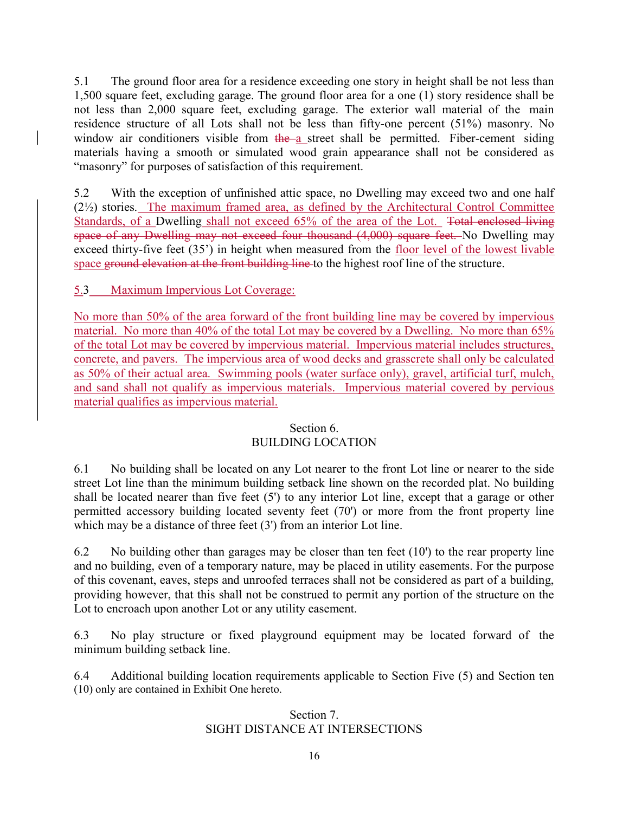5.1 The ground floor area for a residence exceeding one story in height shall be not less than 1,500 square feet, excluding garage. The ground floor area for a one (1) story residence shall be not less than 2,000 square feet, excluding garage. The exterior wall material of the main residence structure of all Lots shall not be less than fifty-one percent (51%) masonry. No window air conditioners visible from  $t$ he a street shall be permitted. Fiber-cement siding materials having a smooth or simulated wood grain appearance shall not be considered as "masonry" for purposes of satisfaction of this requirement.

5.2 With the exception of unfinished attic space, no Dwelling may exceed two and one half (2½) stories. The maximum framed area, as defined by the Architectural Control Committee Standards, of a Dwelling shall not exceed 65% of the area of the Lot. Total enclosed living space of any Dwelling may not exceed four thousand (4,000) square feet. No Dwelling may exceed thirty-five feet (35') in height when measured from the floor level of the lowest livable space ground elevation at the front building line to the highest roof line of the structure.

5.3 Maximum Impervious Lot Coverage:

No more than 50% of the area forward of the front building line may be covered by impervious material. No more than 40% of the total Lot may be covered by a Dwelling. No more than 65% of the total Lot may be covered by impervious material. Impervious material includes structures, concrete, and pavers. The impervious area of wood decks and grasscrete shall only be calculated as 50% of their actual area. Swimming pools (water surface only), gravel, artificial turf, mulch, and sand shall not qualify as impervious materials. Impervious material covered by pervious material qualifies as impervious material.

#### Section 6. BUILDING LOCATION

6.1 No building shall be located on any Lot nearer to the front Lot line or nearer to the side street Lot line than the minimum building setback line shown on the recorded plat. No building shall be located nearer than five feet (5') to any interior Lot line, except that a garage or other permitted accessory building located seventy feet (70') or more from the front property line which may be a distance of three feet (3') from an interior Lot line.

6.2 No building other than garages may be closer than ten feet (10') to the rear property line and no building, even of a temporary nature, may be placed in utility easements. For the purpose of this covenant, eaves, steps and unroofed terraces shall not be considered as part of a building, providing however, that this shall not be construed to permit any portion of the structure on the Lot to encroach upon another Lot or any utility easement.

6.3 No play structure or fixed playground equipment may be located forward of the minimum building setback line.

6.4 Additional building location requirements applicable to Section Five (5) and Section ten (10) only are contained in Exhibit One hereto.

# Section 7. SIGHT DISTANCE AT INTERSECTIONS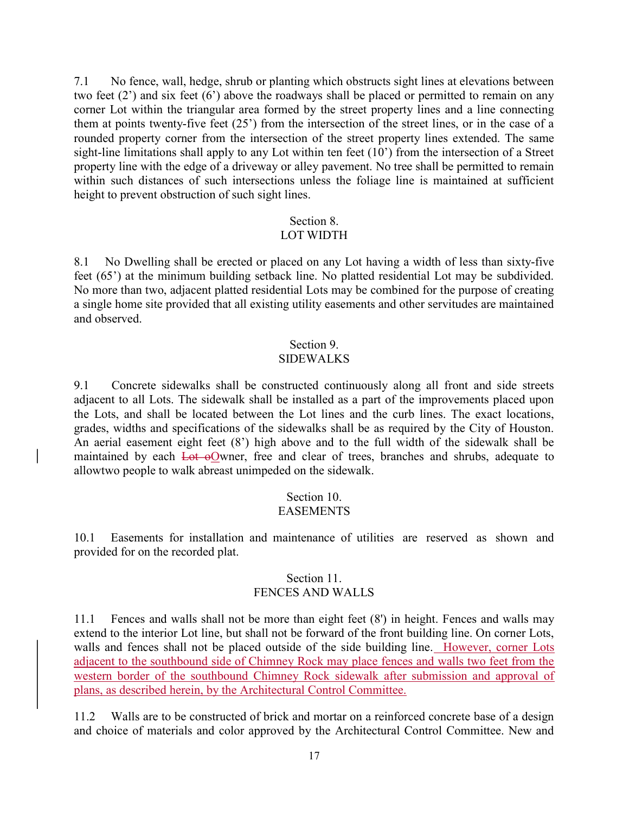7.1 No fence, wall, hedge, shrub or planting which obstructs sight lines at elevations between two feet (2') and six feet (6') above the roadways shall be placed or permitted to remain on any corner Lot within the triangular area formed by the street property lines and a line connecting them at points twenty-five feet (25') from the intersection of the street lines, or in the case of a rounded property corner from the intersection of the street property lines extended. The same sight-line limitations shall apply to any Lot within ten feet (10') from the intersection of a Street property line with the edge of a driveway or alley pavement. No tree shall be permitted to remain within such distances of such intersections unless the foliage line is maintained at sufficient height to prevent obstruction of such sight lines.

# Section 8.

#### LOT WIDTH

8.1 No Dwelling shall be erected or placed on any Lot having a width of less than sixty-five feet (65') at the minimum building setback line. No platted residential Lot may be subdivided. No more than two, adjacent platted residential Lots may be combined for the purpose of creating a single home site provided that all existing utility easements and other servitudes are maintained and observed.

#### Section 9.

#### SIDEWALKS

9.1 Concrete sidewalks shall be constructed continuously along all front and side streets adjacent to all Lots. The sidewalk shall be installed as a part of the improvements placed upon the Lots, and shall be located between the Lot lines and the curb lines. The exact locations, grades, widths and specifications of the sidewalks shall be as required by the City of Houston. An aerial easement eight feet (8') high above and to the full width of the sidewalk shall be maintained by each Lot oOwner, free and clear of trees, branches and shrubs, adequate to allow two people to walk abreast unimpeded on the sidewalk.

#### Section 10. **EASEMENTS**

10.1 Easements for installation and maintenance of utilities are reserved as shown and provided for on the recorded plat.

# Section 11. FENCES AND WALLS

11.1 Fences and walls shall not be more than eight feet (8') in height. Fences and walls may extend to the interior Lot line, but shall not be forward of the front building line. On corner Lots, walls and fences shall not be placed outside of the side building line. However, corner Lots adjacent to the southbound side of Chimney Rock may place fences and walls two feet from the western border of the southbound Chimney Rock sidewalk after submission and approval of plans, as described herein, by the Architectural Control Committee.

11.2 Walls are to be constructed of brick and mortar on a reinforced concrete base of a design and choice of materials and color approved by the Architectural Control Committee. New and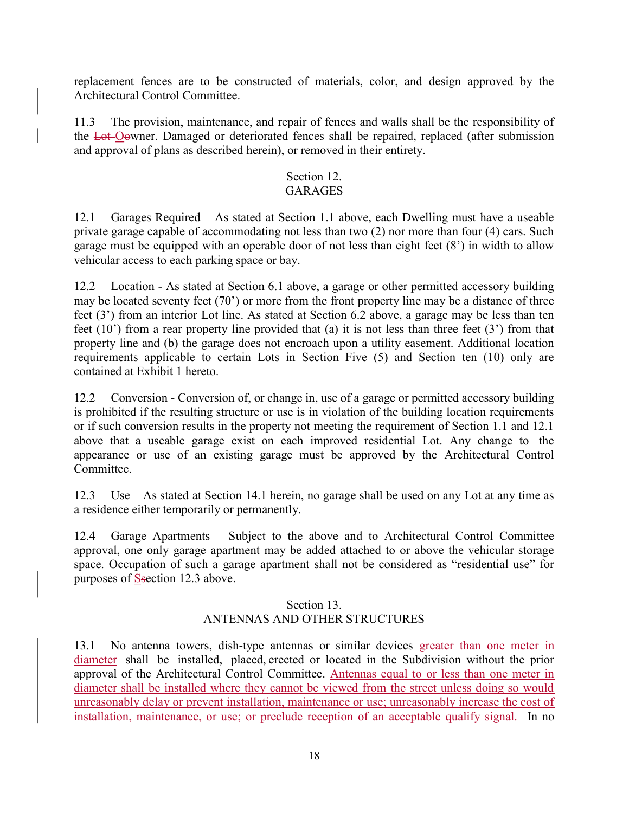replacement fences are to be constructed of materials, color, and design approved by the Architectural Control Committee.

11.3 The provision, maintenance, and repair of fences and walls shall be the responsibility of the Lot Oowner. Damaged or deteriorated fences shall be repaired, replaced (after submission and approval of plans as described herein), or removed in their entirety.

# Section 12.

# **GARAGES**

12.1 Garages Required – As stated at Section 1.1 above, each Dwelling must have a useable private garage capable of accommodating not less than two (2) nor more than four (4) cars. Such garage must be equipped with an operable door of not less than eight feet (8') in width to allow vehicular access to each parking space or bay.

12.2 Location - As stated at Section 6.1 above, a garage or other permitted accessory building may be located seventy feet (70') or more from the front property line may be a distance of three feet (3') from an interior Lot line. As stated at Section 6.2 above, a garage may be less than ten feet (10') from a rear property line provided that (a) it is not less than three feet (3') from that property line and (b) the garage does not encroach upon a utility easement. Additional location requirements applicable to certain Lots in Section Five (5) and Section ten (10) only are contained at Exhibit 1 hereto.

12.2 Conversion - Conversion of, or change in, use of a garage or permitted accessory building is prohibited if the resulting structure or use is in violation of the building location requirements or if such conversion results in the property not meeting the requirement of Section 1.1 and 12.1 above that a useable garage exist on each improved residential Lot. Any change to the appearance or use of an existing garage must be approved by the Architectural Control Committee.

12.3 Use – As stated at Section 14.1 herein, no garage shall be used on any Lot at any time as a residence either temporarily or permanently.

12.4 Garage Apartments – Subject to the above and to Architectural Control Committee approval, one only garage apartment may be added attached to or above the vehicular storage space. Occupation of such a garage apartment shall not be considered as "residential use" for purposes of Ssection 12.3 above.

# Section 13. ANTENNAS AND OTHER STRUCTURES

13.1 No antenna towers, dish-type antennas or similar devices greater than one meter in diameter shall be installed, placed, erected or located in the Subdivision without the prior approval of the Architectural Control Committee. Antennas equal to or less than one meter in diameter shall be installed where they cannot be viewed from the street unless doing so would unreasonably delay or prevent installation, maintenance or use; unreasonably increase the cost of installation, maintenance, or use; or preclude reception of an acceptable qualify signal. In no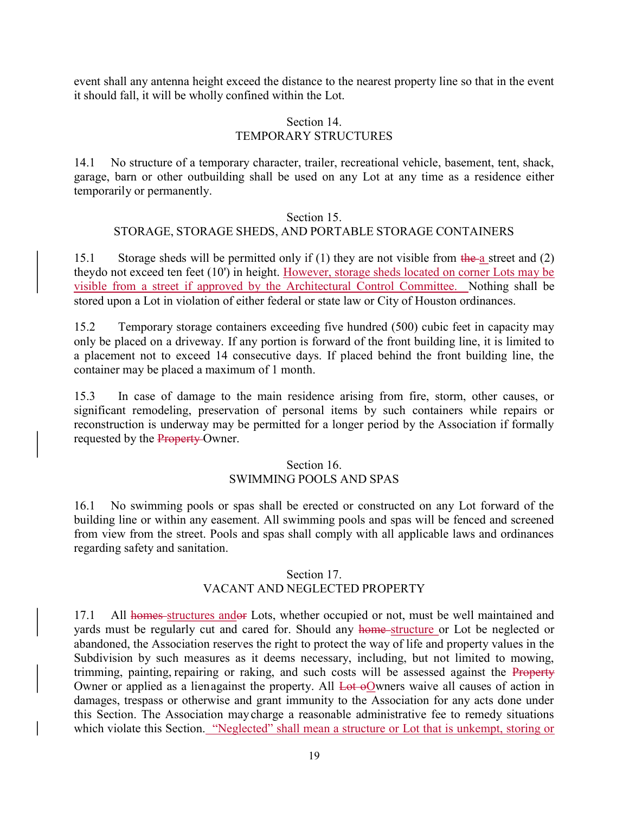event shall any antenna height exceed the distance to the nearest property line so that in the event it should fall, it will be wholly confined within the Lot.

#### Section 14. TEMPORARY STRUCTURES

14.1 No structure of a temporary character, trailer, recreational vehicle, basement, tent, shack, garage, barn or other outbuilding shall be used on any Lot at any time as a residence either temporarily or permanently.

#### Section 15.

# STORAGE, STORAGE SHEDS, AND PORTABLE STORAGE CONTAINERS

15.1 Storage sheds will be permitted only if  $(1)$  they are not visible from the a street and  $(2)$ they do not exceed ten feet (10') in height. However, storage sheds located on corner Lots may be visible from a street if approved by the Architectural Control Committee. Nothing shall be stored upon a Lot in violation of either federal or state law or City of Houston ordinances.

15.2 Temporary storage containers exceeding five hundred (500) cubic feet in capacity may only be placed on a driveway. If any portion is forward of the front building line, it is limited to a placement not to exceed 14 consecutive days. If placed behind the front building line, the container may be placed a maximum of 1 month.

15.3 In case of damage to the main residence arising from fire, storm, other causes, or significant remodeling, preservation of personal items by such containers while repairs or reconstruction is underway may be permitted for a longer period by the Association if formally requested by the Property Owner.

#### Section 16. SWIMMING POOLS AND SPAS

16.1 No swimming pools or spas shall be erected or constructed on any Lot forward of the building line or within any easement. All swimming pools and spas will be fenced and screened from view from the street. Pools and spas shall comply with all applicable laws and ordinances regarding safety and sanitation.

# Section 17. VACANT AND NEGLECTED PROPERTY

17.1 All homes-structures andor Lots, whether occupied or not, must be well maintained and yards must be regularly cut and cared for. Should any home structure or Lot be neglected or abandoned, the Association reserves the right to protect the way of life and property values in the Subdivision by such measures as it deems necessary, including, but not limited to mowing, trimming, painting, repairing or raking, and such costs will be assessed against the Property Owner or applied as a lien against the property. All Lot oOwners waive all causes of action in damages, trespass or otherwise and grant immunity to the Association for any acts done under this Section. The Association may charge a reasonable administrative fee to remedy situations which violate this Section. "Neglected" shall mean a structure or Lot that is unkempt, storing or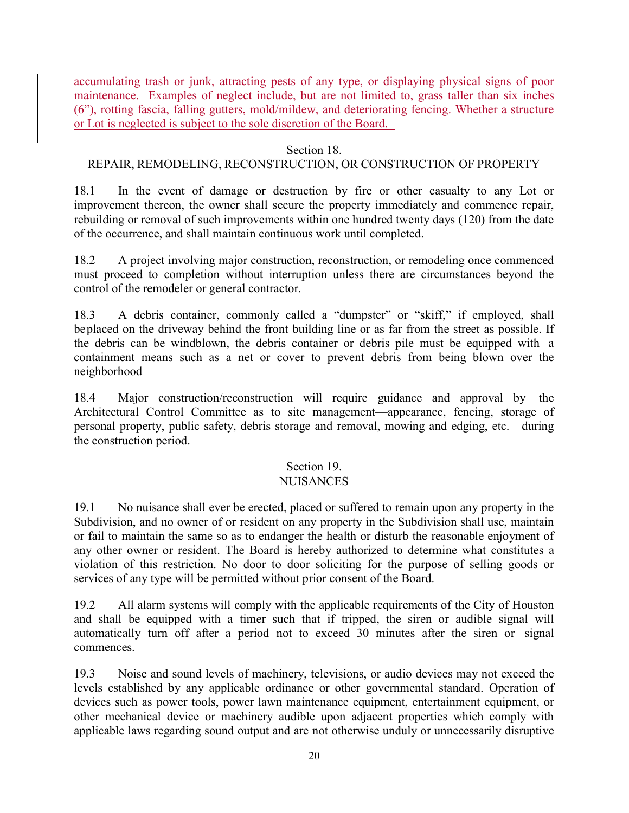accumulating trash or junk, attracting pests of any type, or displaying physical signs of poor maintenance. Examples of neglect include, but are not limited to, grass taller than six inches (6"), rotting fascia, falling gutters, mold/mildew, and deteriorating fencing. Whether a structure or Lot is neglected is subject to the sole discretion of the Board.

# Section 18.

# REPAIR, REMODELING, RECONSTRUCTION, OR CONSTRUCTION OF PROPERTY

18.1 In the event of damage or destruction by fire or other casualty to any Lot or improvement thereon, the owner shall secure the property immediately and commence repair, rebuilding or removal of such improvements within one hundred twenty days (120) from the date of the occurrence, and shall maintain continuous work until completed.

18.2 A project involving major construction, reconstruction, or remodeling once commenced must proceed to completion without interruption unless there are circumstances beyond the control of the remodeler or general contractor.

18.3 A debris container, commonly called a "dumpster" or "skiff," if employed, shall be placed on the driveway behind the front building line or as far from the street as possible. If the debris can be windblown, the debris container or debris pile must be equipped with a containment means such as a net or cover to prevent debris from being blown over the neighborhood

18.4 Major construction/reconstruction will require guidance and approval by the Architectural Control Committee as to site management—appearance, fencing, storage of personal property, public safety, debris storage and removal, mowing and edging, etc.—during the construction period.

# Section 19.

# NUISANCES

19.1 No nuisance shall ever be erected, placed or suffered to remain upon any property in the Subdivision, and no owner of or resident on any property in the Subdivision shall use, maintain or fail to maintain the same so as to endanger the health or disturb the reasonable enjoyment of any other owner or resident. The Board is hereby authorized to determine what constitutes a violation of this restriction. No door to door soliciting for the purpose of selling goods or services of any type will be permitted without prior consent of the Board.

19.2 All alarm systems will comply with the applicable requirements of the City of Houston and shall be equipped with a timer such that if tripped, the siren or audible signal will automatically turn off after a period not to exceed 30 minutes after the siren or signal commences.

19.3 Noise and sound levels of machinery, televisions, or audio devices may not exceed the levels established by any applicable ordinance or other governmental standard. Operation of devices such as power tools, power lawn maintenance equipment, entertainment equipment, or other mechanical device or machinery audible upon adjacent properties which comply with applicable laws regarding sound output and are not otherwise unduly or unnecessarily disruptive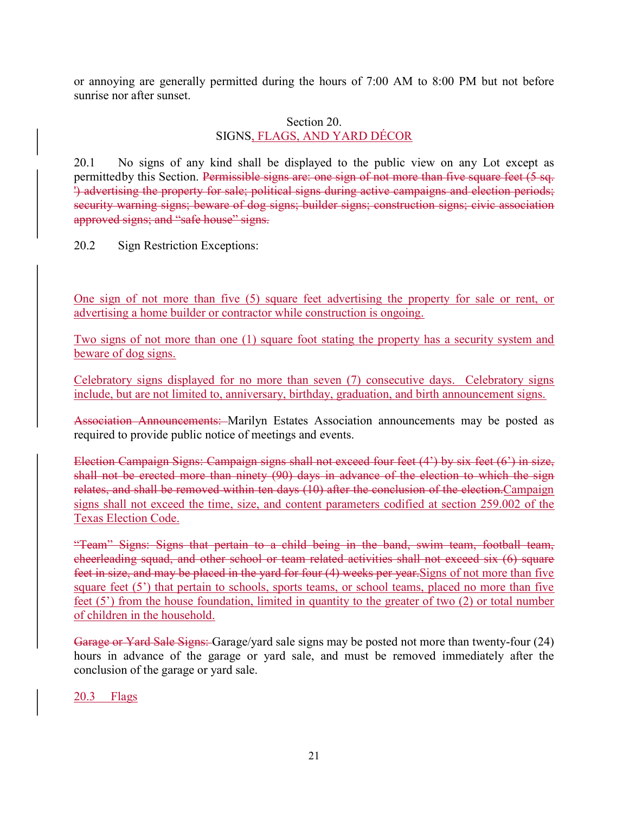or annoying are generally permitted during the hours of 7:00 AM to 8:00 PM but not before sunrise nor after sunset.

# Section 20. SIGNS, FLAGS, AND YARD DÉCOR

20.1 No signs of any kind shall be displayed to the public view on any Lot except as permitted by this Section. Permissible signs are: one sign of not more than five square feet (5 sq. ') advertising the property for sale; political signs during active campaigns and election periods; security warning signs; beware of dog signs; builder signs; construction signs; civic association approved signs; and "safe house" signs.

20.2 Sign Restriction Exceptions:

One sign of not more than five (5) square feet advertising the property for sale or rent, or advertising a home builder or contractor while construction is ongoing.

Two signs of not more than one (1) square foot stating the property has a security system and beware of dog signs.

Celebratory signs displayed for no more than seven (7) consecutive days. Celebratory signs include, but are not limited to, anniversary, birthday, graduation, and birth announcement signs.

Association Announcements: Marilyn Estates Association announcements may be posted as required to provide public notice of meetings and events.

Election Campaign Signs: Campaign signs shall not exceed four feet (4') by six feet (6') in size, shall not be erected more than ninety (90) days in advance of the election to which the sign relates, and shall be removed within ten days (10) after the conclusion of the election.Campaign signs shall not exceed the time, size, and content parameters codified at section 259.002 of the Texas Election Code.

"Team" Signs: Signs that pertain to a child being in the band, swim team, football team, cheerleading squad, and other school or team related activities shall not exceed six (6) square feet in size, and may be placed in the yard for four (4) weeks per year.Signs of not more than five square feet (5<sup>'</sup>) that pertain to schools, sports teams, or school teams, placed no more than five feet (5') from the house foundation, limited in quantity to the greater of two (2) or total number of children in the household.

Garage or Yard Sale Signs: Garage/yard sale signs may be posted not more than twenty-four (24) hours in advance of the garage or yard sale, and must be removed immediately after the conclusion of the garage or yard sale.

20.3 Flags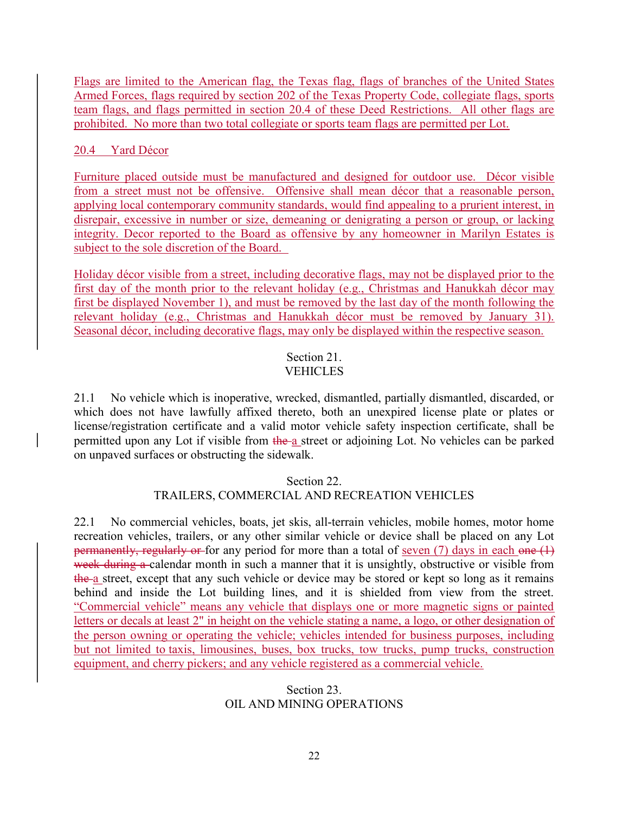Flags are limited to the American flag, the Texas flag, flags of branches of the United States Armed Forces, flags required by section 202 of the Texas Property Code, collegiate flags, sports team flags, and flags permitted in section 20.4 of these Deed Restrictions. All other flags are prohibited. No more than two total collegiate or sports team flags are permitted per Lot.

# 20.4 Yard Décor

Furniture placed outside must be manufactured and designed for outdoor use. Décor visible from a street must not be offensive. Offensive shall mean décor that a reasonable person, applying local contemporary community standards, would find appealing to a prurient interest, in disrepair, excessive in number or size, demeaning or denigrating a person or group, or lacking integrity. Decor reported to the Board as offensive by any homeowner in Marilyn Estates is subject to the sole discretion of the Board.

Holiday décor visible from a street, including decorative flags, may not be displayed prior to the first day of the month prior to the relevant holiday (e.g., Christmas and Hanukkah décor may first be displayed November 1), and must be removed by the last day of the month following the relevant holiday (e.g., Christmas and Hanukkah décor must be removed by January 31). Seasonal décor, including decorative flags, may only be displayed within the respective season.

# Section 21. VEHICLES

21.1 No vehicle which is inoperative, wrecked, dismantled, partially dismantled, discarded, or which does not have lawfully affixed thereto, both an unexpired license plate or plates or license/registration certificate and a valid motor vehicle safety inspection certificate, shall be permitted upon any Lot if visible from the a street or adjoining Lot. No vehicles can be parked on unpaved surfaces or obstructing the sidewalk.

# Section 22.

# TRAILERS, COMMERCIAL AND RECREATION VEHICLES

22.1 No commercial vehicles, boats, jet skis, all-terrain vehicles, mobile homes, motor home recreation vehicles, trailers, or any other similar vehicle or device shall be placed on any Lot permanently, regularly or for any period for more than a total of seven (7) days in each one  $(1)$ week during a calendar month in such a manner that it is unsightly, obstructive or visible from the a street, except that any such vehicle or device may be stored or kept so long as it remains behind and inside the Lot building lines, and it is shielded from view from the street. "Commercial vehicle" means any vehicle that displays one or more magnetic signs or painted letters or decals at least 2" in height on the vehicle stating a name, a logo, or other designation of the person owning or operating the vehicle; vehicles intended for business purposes, including but not limited to taxis, limousines, buses, box trucks, tow trucks, pump trucks, construction equipment, and cherry pickers; and any vehicle registered as a commercial vehicle.

# Section 23. OIL AND MINING OPERATIONS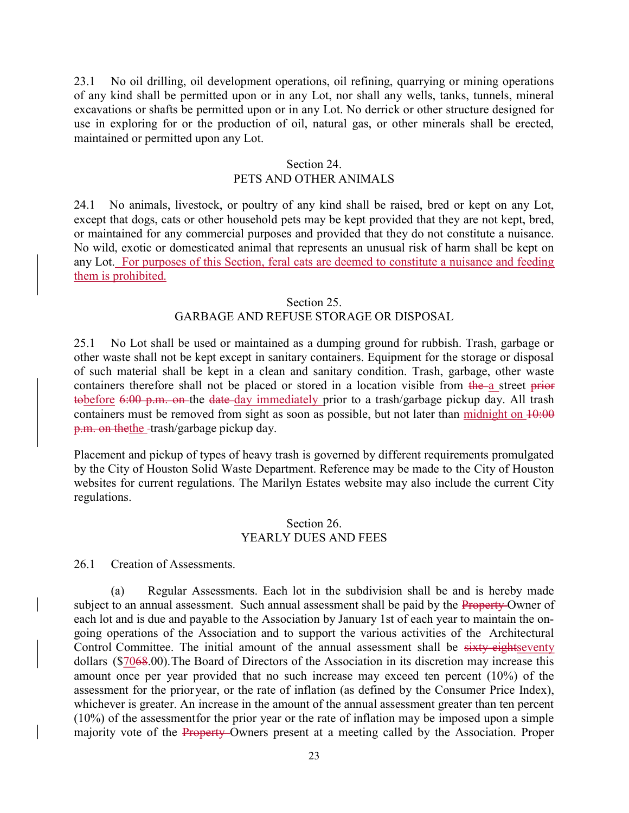23.1 No oil drilling, oil development operations, oil refining, quarrying or mining operations of any kind shall be permitted upon or in any Lot, nor shall any wells, tanks, tunnels, mineral excavations or shafts be permitted upon or in any Lot. No derrick or other structure designed for use in exploring for or the production of oil, natural gas, or other minerals shall be erected, maintained or permitted upon any Lot.

### Section 24. PETS AND OTHER ANIMALS

24.1 No animals, livestock, or poultry of any kind shall be raised, bred or kept on any Lot, except that dogs, cats or other household pets may be kept provided that they are not kept, bred, or maintained for any commercial purposes and provided that they do not constitute a nuisance. No wild, exotic or domesticated animal that represents an unusual risk of harm shall be kept on any Lot. For purposes of this Section, feral cats are deemed to constitute a nuisance and feeding them is prohibited.

#### Section 25.

# GARBAGE AND REFUSE STORAGE OR DISPOSAL

25.1 No Lot shall be used or maintained as a dumping ground for rubbish. Trash, garbage or other waste shall not be kept except in sanitary containers. Equipment for the storage or disposal of such material shall be kept in a clean and sanitary condition. Trash, garbage, other waste containers therefore shall not be placed or stored in a location visible from the a street prior tobefore 6:00 p.m. on the date day immediately prior to a trash/garbage pickup day. All trash containers must be removed from sight as soon as possible, but not later than midnight on  $10:00$ p.m. on the the -trash/garbage pickup day.

Placement and pickup of types of heavy trash is governed by different requirements promulgated by the City of Houston Solid Waste Department. Reference may be made to the City of Houston websites for current regulations. The Marilyn Estates website may also include the current City regulations.

#### Section 26. YEARLY DUES AND FEES

26.1 Creation of Assessments.

(a) Regular Assessments. Each lot in the subdivision shall be and is hereby made subject to an annual assessment. Such annual assessment shall be paid by the Property-Owner of each lot and is due and payable to the Association by January 1st of each year to maintain the ongoing operations of the Association and to support the various activities of the Architectural Control Committee. The initial amount of the annual assessment shall be sixty-eightseventy dollars (\$7068.00). The Board of Directors of the Association in its discretion may increase this amount once per year provided that no such increase may exceed ten percent (10%) of the assessment for the prior year, or the rate of inflation (as defined by the Consumer Price Index), whichever is greater. An increase in the amount of the annual assessment greater than ten percent  $(10\%)$  of the assessment for the prior year or the rate of inflation may be imposed upon a simple majority vote of the **Property**-Owners present at a meeting called by the Association. Proper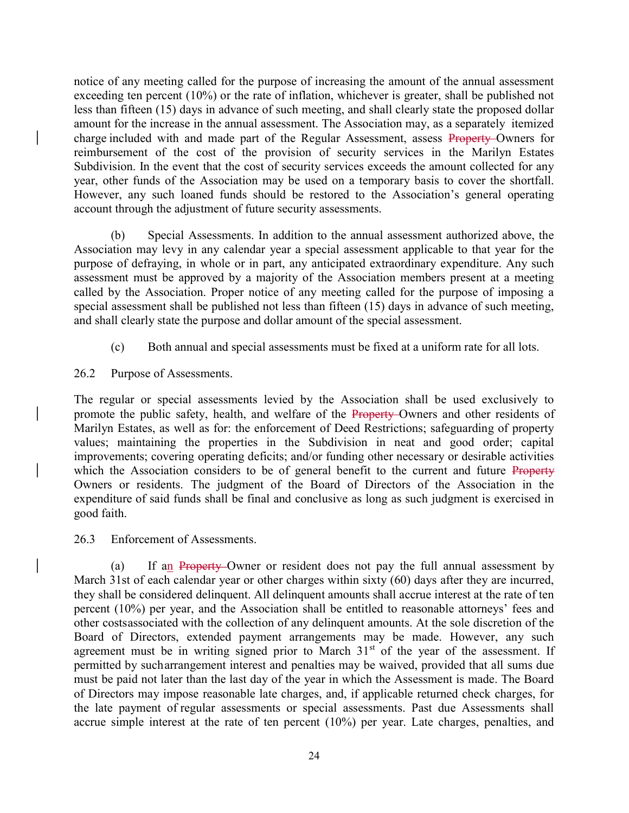notice of any meeting called for the purpose of increasing the amount of the annual assessment exceeding ten percent (10%) or the rate of inflation, whichever is greater, shall be published not less than fifteen (15) days in advance of such meeting, and shall clearly state the proposed dollar amount for the increase in the annual assessment. The Association may, as a separately itemized charge included with and made part of the Regular Assessment, assess Property Owners for reimbursement of the cost of the provision of security services in the Marilyn Estates Subdivision. In the event that the cost of security services exceeds the amount collected for any year, other funds of the Association may be used on a temporary basis to cover the shortfall. However, any such loaned funds should be restored to the Association's general operating account through the adjustment of future security assessments.

(b) Special Assessments. In addition to the annual assessment authorized above, the Association may levy in any calendar year a special assessment applicable to that year for the purpose of defraying, in whole or in part, any anticipated extraordinary expenditure. Any such assessment must be approved by a majority of the Association members present at a meeting called by the Association. Proper notice of any meeting called for the purpose of imposing a special assessment shall be published not less than fifteen (15) days in advance of such meeting, and shall clearly state the purpose and dollar amount of the special assessment.

- (c) Both annual and special assessments must be fixed at a uniform rate for all lots.
- 26.2 Purpose of Assessments.

The regular or special assessments levied by the Association shall be used exclusively to promote the public safety, health, and welfare of the Property-Owners and other residents of Marilyn Estates, as well as for: the enforcement of Deed Restrictions; safeguarding of property values; maintaining the properties in the Subdivision in neat and good order; capital improvements; covering operating deficits; and/or funding other necessary or desirable activities which the Association considers to be of general benefit to the current and future Property Owners or residents. The judgment of the Board of Directors of the Association in the expenditure of said funds shall be final and conclusive as long as such judgment is exercised in good faith.

26.3 Enforcement of Assessments.

(a) If an Property Owner or resident does not pay the full annual assessment by March 31st of each calendar year or other charges within sixty (60) days after they are incurred, they shall be considered delinquent. All delinquent amounts shall accrue interest at the rate of ten percent (10%) per year, and the Association shall be entitled to reasonable attorneys' fees and other costs associated with the collection of any delinquent amounts. At the sole discretion of the Board of Directors, extended payment arrangements may be made. However, any such agreement must be in writing signed prior to March  $31<sup>st</sup>$  of the year of the assessment. If permitted by such arrangement interest and penalties may be waived, provided that all sums due must be paid not later than the last day of the year in which the Assessment is made. The Board of Directors may impose reasonable late charges, and, if applicable returned check charges, for the late payment of regular assessments or special assessments. Past due Assessments shall accrue simple interest at the rate of ten percent (10%) per year. Late charges, penalties, and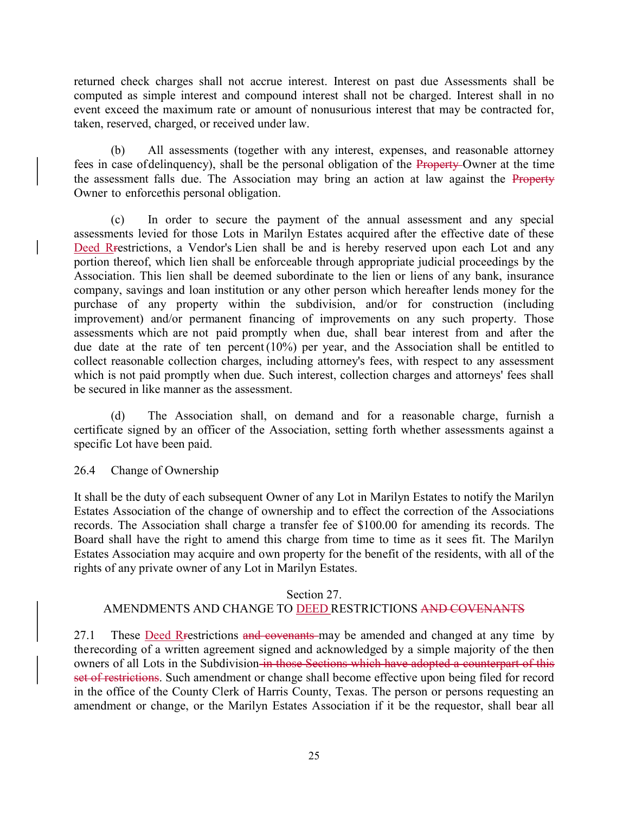returned check charges shall not accrue interest. Interest on past due Assessments shall be computed as simple interest and compound interest shall not be charged. Interest shall in no event exceed the maximum rate or amount of nonusurious interest that may be contracted for, taken, reserved, charged, or received under law.

(b) All assessments (together with any interest, expenses, and reasonable attorney fees in case of delinquency), shall be the personal obligation of the Property Owner at the time the assessment falls due. The Association may bring an action at law against the Property Owner to enforce this personal obligation.

(c) In order to secure the payment of the annual assessment and any special assessments levied for those Lots in Marilyn Estates acquired after the effective date of these Deed Rrestrictions, a Vendor's Lien shall be and is hereby reserved upon each Lot and any portion thereof, which lien shall be enforceable through appropriate judicial proceedings by the Association. This lien shall be deemed subordinate to the lien or liens of any bank, insurance company, savings and loan institution or any other person which hereafter lends money for the purchase of any property within the subdivision, and/or for construction (including improvement) and/or permanent financing of improvements on any such property. Those assessments which are not paid promptly when due, shall bear interest from and after the due date at the rate of ten percent (10%) per year, and the Association shall be entitled to collect reasonable collection charges, including attorney's fees, with respect to any assessment which is not paid promptly when due. Such interest, collection charges and attorneys' fees shall be secured in like manner as the assessment.

(d) The Association shall, on demand and for a reasonable charge, furnish a certificate signed by an officer of the Association, setting forth whether assessments against a specific Lot have been paid.

26.4 Change of Ownership

It shall be the duty of each subsequent Owner of any Lot in Marilyn Estates to notify the Marilyn Estates Association of the change of ownership and to effect the correction of the Associations records. The Association shall charge a transfer fee of \$100.00 for amending its records. The Board shall have the right to amend this charge from time to time as it sees fit. The Marilyn Estates Association may acquire and own property for the benefit of the residents, with all of the rights of any private owner of any Lot in Marilyn Estates.

# Section 27.

# AMENDMENTS AND CHANGE TO DEED RESTRICTIONS AND COVENANTS

27.1 These Deed Restrictions and covenants may be amended and changed at any time by the recording of a written agreement signed and acknowledged by a simple majority of the then owners of all Lots in the Subdivision in those Sections which have adopted a counterpart of this set of restrictions. Such amendment or change shall become effective upon being filed for record in the office of the County Clerk of Harris County, Texas. The person or persons requesting an amendment or change, or the Marilyn Estates Association if it be the requestor, shall bear all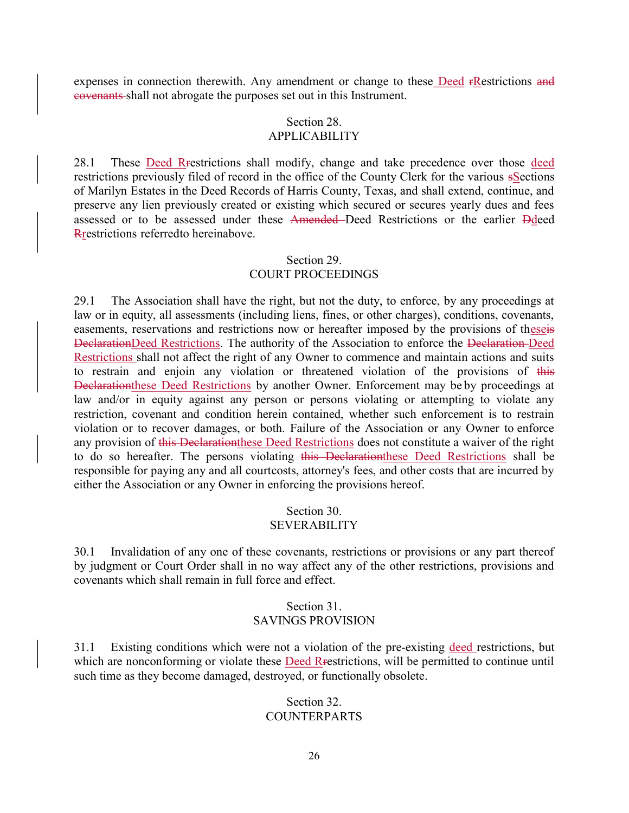expenses in connection therewith. Any amendment or change to these Deed rRestrictions and covenants shall not abrogate the purposes set out in this Instrument.

# Section 28.

# APPLICABILITY

28.1 These Deed Rrestrictions shall modify, change and take precedence over those deed restrictions previously filed of record in the office of the County Clerk for the various sSections of Marilyn Estates in the Deed Records of Harris County, Texas, and shall extend, continue, and preserve any lien previously created or existing which secured or secures yearly dues and fees assessed or to be assessed under these Amended Deed Restrictions or the earlier Ddeed Rrestrictions referred to hereinabove.

#### Section 29. COURT PROCEEDINGS

29.1 The Association shall have the right, but not the duty, to enforce, by any proceedings at law or in equity, all assessments (including liens, fines, or other charges), conditions, covenants, easements, reservations and restrictions now or hereafter imposed by the provisions of theseis DeclarationDeed Restrictions. The authority of the Association to enforce the Declaration Deed Restrictions shall not affect the right of any Owner to commence and maintain actions and suits to restrain and enjoin any violation or threatened violation of the provisions of this Declarationthese Deed Restrictions by another Owner. Enforcement may be by proceedings at law and/or in equity against any person or persons violating or attempting to violate any restriction, covenant and condition herein contained, whether such enforcement is to restrain violation or to recover damages, or both. Failure of the Association or any Owner to enforce any provision of this Declarationthese Deed Restrictions does not constitute a waiver of the right to do so hereafter. The persons violating this Declarationthese Deed Restrictions shall be responsible for paying any and all court costs, attorney's fees, and other costs that are incurred by either the Association or any Owner in enforcing the provisions hereof.

# Section 30.

# SEVERABILITY

30.1 Invalidation of any one of these covenants, restrictions or provisions or any part thereof by judgment or Court Order shall in no way affect any of the other restrictions, provisions and covenants which shall remain in full force and effect.

# Section 31. SAVINGS PROVISION

31.1 Existing conditions which were not a violation of the pre-existing deed restrictions, but which are nonconforming or violate these Deed Rrestrictions, will be permitted to continue until such time as they become damaged, destroyed, or functionally obsolete.

#### Section 32. COUNTERPARTS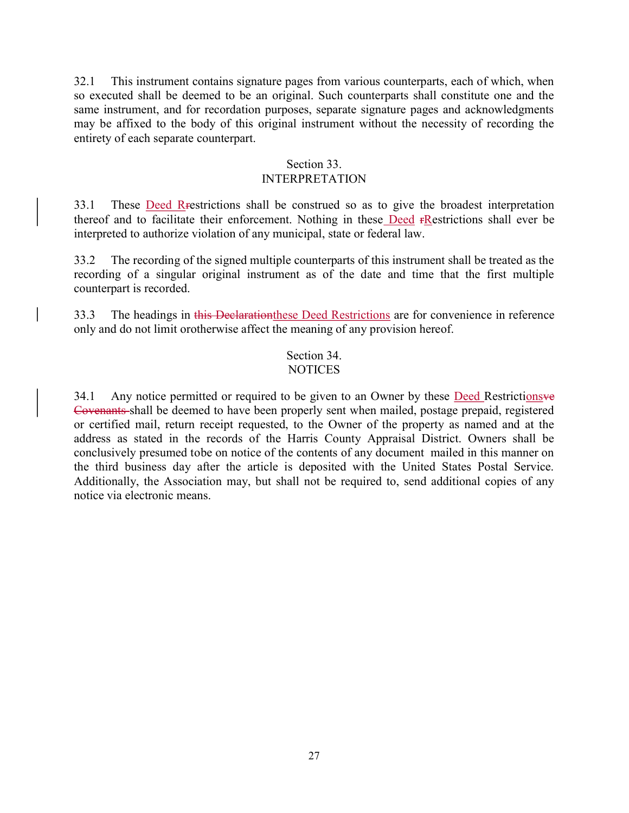32.1 This instrument contains signature pages from various counterparts, each of which, when so executed shall be deemed to be an original. Such counterparts shall constitute one and the same instrument, and for recordation purposes, separate signature pages and acknowledgments may be affixed to the body of this original instrument without the necessity of recording the entirety of each separate counterpart.

#### Section 33.

# INTERPRETATION

33.1 These Deed Restrictions shall be construed so as to give the broadest interpretation thereof and to facilitate their enforcement. Nothing in these Deed **FRestrictions** shall ever be interpreted to authorize violation of any municipal, state or federal law.

33.2 The recording of the signed multiple counterparts of this instrument shall be treated as the recording of a singular original instrument as of the date and time that the first multiple counterpart is recorded.

33.3 The headings in this Declarationthese Deed Restrictions are for convenience in reference only and do not limit or otherwise affect the meaning of any provision hereof.

### Section 34. **NOTICES**

34.1 Any notice permitted or required to be given to an Owner by these Deed Restrictionsve Covenants shall be deemed to have been properly sent when mailed, postage prepaid, registered or certified mail, return receipt requested, to the Owner of the property as named and at the address as stated in the records of the Harris County Appraisal District. Owners shall be conclusively presumed to be on notice of the contents of any document mailed in this manner on the third business day after the article is deposited with the United States Postal Service. Additionally, the Association may, but shall not be required to, send additional copies of any notice via electronic means.